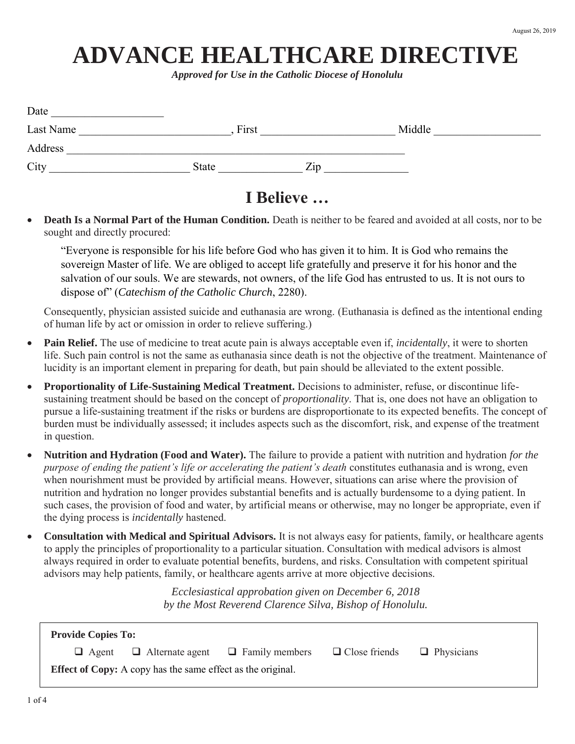# **ADVANCE HEALTHCARE DIRECTIVE**

*Approved for Use in the Catholic Diocese of Honolulu* 

| Date      |       |             |
|-----------|-------|-------------|
| Last Name | First | Middle      |
| Address   |       |             |
| City      | State | $\angle$ ip |

## **I Believe …**

• Death Is a Normal Part of the Human Condition. Death is neither to be feared and avoided at all costs, nor to be sought and directly procured:

"Everyone is responsible for his life before God who has given it to him. It is God who remains the sovereign Master of life. We are obliged to accept life gratefully and preserve it for his honor and the salvation of our souls. We are stewards, not owners, of the life God has entrusted to us. It is not ours to dispose of" (*Catechism of the Catholic Church*, 2280).

Consequently, physician assisted suicide and euthanasia are wrong. (Euthanasia is defined as the intentional ending of human life by act or omission in order to relieve suffering.)

- **Pain Relief.** The use of medicine to treat acute pain is always acceptable even if, *incidentally*, it were to shorten life. Such pain control is not the same as euthanasia since death is not the objective of the treatment. Maintenance of lucidity is an important element in preparing for death, but pain should be alleviated to the extent possible.
- **Proportionality of Life-Sustaining Medical Treatment.** Decisions to administer, refuse, or discontinue lifesustaining treatment should be based on the concept of *proportionality*. That is, one does not have an obligation to pursue a life-sustaining treatment if the risks or burdens are disproportionate to its expected benefits. The concept of burden must be individually assessed; it includes aspects such as the discomfort, risk, and expense of the treatment in question.
- **Nutrition and Hydration (Food and Water).** The failure to provide a patient with nutrition and hydration *for the purpose of ending the patient's life or accelerating the patient's death constitutes euthanasia and is wrong, even* when nourishment must be provided by artificial means. However, situations can arise where the provision of nutrition and hydration no longer provides substantial benefits and is actually burdensome to a dying patient. In such cases, the provision of food and water, by artificial means or otherwise, may no longer be appropriate, even if the dying process is *incidentally* hastened.
- Consultation with Medical and Spiritual Advisors. It is not always easy for patients, family, or healthcare agents to apply the principles of proportionality to a particular situation. Consultation with medical advisors is almost always required in order to evaluate potential benefits, burdens, and risks. Consultation with competent spiritual advisors may help patients, family, or healthcare agents arrive at more objective decisions.

*Ecclesiastical approbation given on December 6, 2018 by the Most Reverend Clarence Silva, Bishop of Honolulu.* 

| <b>Provide Copies To:</b> |                                                                    |                                                           |                                        |  |
|---------------------------|--------------------------------------------------------------------|-----------------------------------------------------------|----------------------------------------|--|
|                           |                                                                    | $\Box$ Agent $\Box$ Alternate agent $\Box$ Family members | $\Box$ Close friends $\Box$ Physicians |  |
|                           | <b>Effect of Copy:</b> A copy has the same effect as the original. |                                                           |                                        |  |
|                           |                                                                    |                                                           |                                        |  |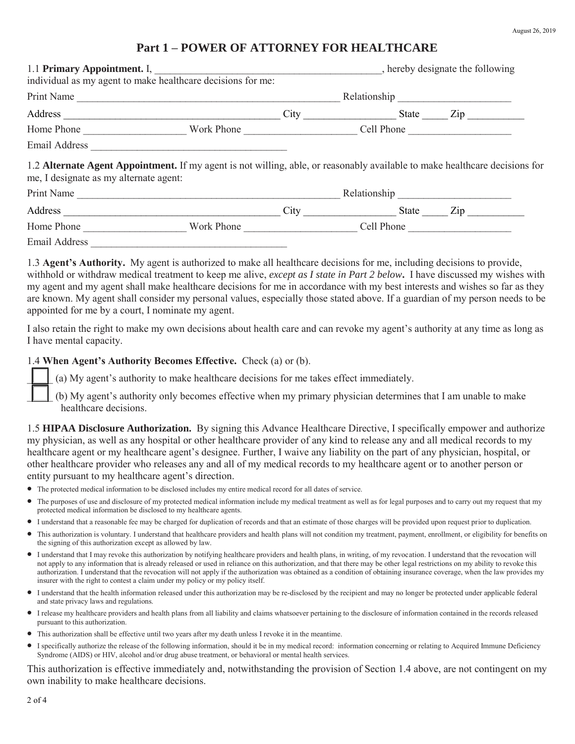## **Part 1 – POWER OF ATTORNEY FOR HEALTHCARE**

|                                        | 1.1 Primary Appointment. I,<br>individual as my agent to make healthcare decisions for me:                                  |      |                | , hereby designate the following |
|----------------------------------------|-----------------------------------------------------------------------------------------------------------------------------|------|----------------|----------------------------------|
| Print Name                             |                                                                                                                             |      | Relationship   |                                  |
|                                        |                                                                                                                             |      | City State Zip |                                  |
| Home Phone                             | Work Phone                                                                                                                  |      | Cell Phone     |                                  |
| Email Address                          |                                                                                                                             |      |                |                                  |
| me, I designate as my alternate agent: | 1.2 Alternate Agent Appointment. If my agent is not willing, able, or reasonably available to make healthcare decisions for |      |                |                                  |
|                                        | Print Name                                                                                                                  |      | Relationship   |                                  |
| Address                                |                                                                                                                             | City | <b>State</b>   | $\mathsf{Zip}$                   |
| Home Phone                             | Work Phone                                                                                                                  |      | Cell Phone     |                                  |

Email Address \_\_\_\_\_\_\_\_\_\_\_\_\_\_\_\_\_\_\_\_\_\_\_\_\_\_\_\_\_\_\_\_\_\_\_\_\_\_

1.3 **Agent's Authority.** My agent is authorized to make all healthcare decisions for me, including decisions to provide, withhold or withdraw medical treatment to keep me alive, *except as I state in Part 2 below***.** I have discussed my wishes with my agent and my agent shall make healthcare decisions for me in accordance with my best interests and wishes so far as they are known. My agent shall consider my personal values, especially those stated above. If a guardian of my person needs to be appointed for me by a court, I nominate my agent.

I also retain the right to make my own decisions about health care and can revoke my agent's authority at any time as long as I have mental capacity.

#### 1.4 **When Agent's Authority Becomes Effective.** Check (a) or (b).

\_\_\_\_\_ (a) My agent's authority to make healthcare decisions for me takes effect immediately.

\_\_\_\_\_ (b) My agent's authority only becomes effective when my primary physician determines that I am unable to make healthcare decisions.

1.5 **HIPAA Disclosure Authorization.** By signing this Advance Healthcare Directive, I specifically empower and authorize my physician, as well as any hospital or other healthcare provider of any kind to release any and all medical records to my healthcare agent or my healthcare agent's designee. Further, I waive any liability on the part of any physician, hospital, or other healthcare provider who releases any and all of my medical records to my healthcare agent or to another person or entity pursuant to my healthcare agent's direction.

- The protected medical information to be disclosed includes my entire medical record for all dates of service.
- The purposes of use and disclosure of my protected medical information include my medical treatment as well as for legal purposes and to carry out my request that my protected medical information be disclosed to my healthcare agents.
- I understand that a reasonable fee may be charged for duplication of records and that an estimate of those charges will be provided upon request prior to duplication.
- This authorization is voluntary. I understand that healthcare providers and health plans will not condition my treatment, payment, enrollment, or eligibility for benefits on the signing of this authorization except as allowed by law.
- I understand that I may revoke this authorization by notifying healthcare providers and health plans, in writing, of my revocation. I understand that the revocation will not apply to any information that is already released or used in reliance on this authorization, and that there may be other legal restrictions on my ability to revoke this authorization. I understand that the revocation will not apply if the authorization was obtained as a condition of obtaining insurance coverage, when the law provides my insurer with the right to contest a claim under my policy or my policy itself.
- I understand that the health information released under this authorization may be re-disclosed by the recipient and may no longer be protected under applicable federal and state privacy laws and regulations.
- I release my healthcare providers and health plans from all liability and claims whatsoever pertaining to the disclosure of information contained in the records released pursuant to this authorization.
- This authorization shall be effective until two years after my death unless I revoke it in the meantime.
- I specifically authorize the release of the following information, should it be in my medical record: information concerning or relating to Acquired Immune Deficiency Syndrome (AIDS) or HIV, alcohol and/or drug abuse treatment, or behavioral or mental health services.

This authorization is effective immediately and, notwithstanding the provision of Section 1.4 above, are not contingent on my own inability to make healthcare decisions.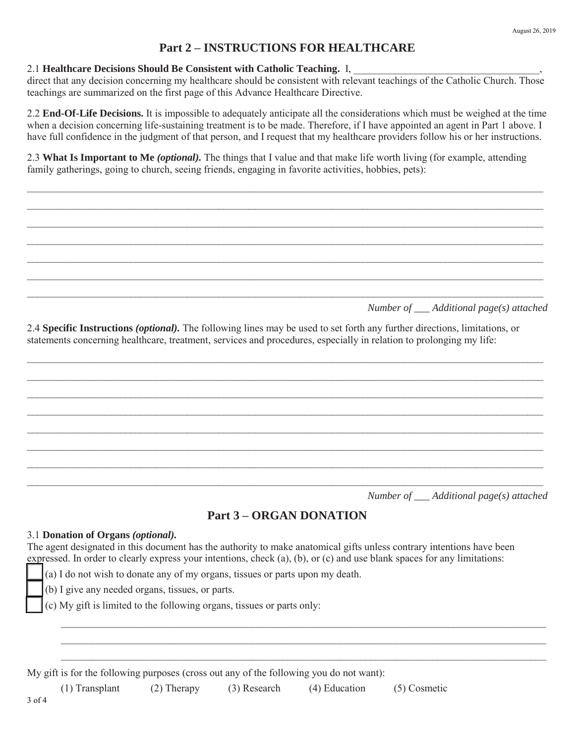## **Part 2 – INSTRUCTIONS FOR HEALTHCARE**

### 2.1 **Healthcare Decisions Should Be Consistent with Catholic Teaching.** I,

direct that any decision concerning my healthcare should be consistent with relevant teachings of the Catholic Church. Those teachings are summarized on the first page of this Advance Healthcare Directive.

2.2 **End-Of-Life Decisions.** It is impossible to adequately anticipate all the considerations which must be weighed at the time when a decision concerning life-sustaining treatment is to be made. Therefore, if I have appointed an agent in Part 1 above. I have full confidence in the judgment of that person, and I request that my healthcare providers follow his or her instructions.

 $\_$  $\_$  $\_$ \_\_\_\_\_\_\_\_\_\_\_\_\_\_\_\_\_\_\_\_\_\_\_\_\_\_\_\_\_\_\_\_\_\_\_\_\_\_\_\_\_\_\_\_\_\_\_\_\_\_\_\_\_\_\_\_\_\_\_\_\_\_\_\_\_\_\_\_\_\_\_\_\_\_\_\_\_\_\_\_\_\_\_\_\_\_\_\_\_\_\_\_\_\_\_\_\_\_\_\_ \_\_\_\_\_\_\_\_\_\_\_\_\_\_\_\_\_\_\_\_\_\_\_\_\_\_\_\_\_\_\_\_\_\_\_\_\_\_\_\_\_\_\_\_\_\_\_\_\_\_\_\_\_\_\_\_\_\_\_\_\_\_\_\_\_\_\_\_\_\_\_\_\_\_\_\_\_\_\_\_\_\_\_\_\_\_\_\_\_\_\_\_\_\_\_\_\_\_\_\_  $\_$  $\_$ 

2.3 **What Is Important to Me** *(optional).* The things that I value and that make life worth living (for example, attending family gatherings, going to church, seeing friends, engaging in favorite activities, hobbies, pets):

*Number of \_\_\_ Additional page(s) attached* 

2.4 **Specific Instructions** *(optional).* The following lines may be used to set forth any further directions, limitations, or statements concerning healthcare, treatment, services and procedures, especially in relation to prolonging my life:

 $\_$ \_\_\_\_\_\_\_\_\_\_\_\_\_\_\_\_\_\_\_\_\_\_\_\_\_\_\_\_\_\_\_\_\_\_\_\_\_\_\_\_\_\_\_\_\_\_\_\_\_\_\_\_\_\_\_\_\_\_\_\_\_\_\_\_\_\_\_\_\_\_\_\_\_\_\_\_\_\_\_\_\_\_\_\_\_\_\_\_\_\_\_\_\_\_\_\_\_\_\_\_ \_\_\_\_\_\_\_\_\_\_\_\_\_\_\_\_\_\_\_\_\_\_\_\_\_\_\_\_\_\_\_\_\_\_\_\_\_\_\_\_\_\_\_\_\_\_\_\_\_\_\_\_\_\_\_\_\_\_\_\_\_\_\_\_\_\_\_\_\_\_\_\_\_\_\_\_\_\_\_\_\_\_\_\_\_\_\_\_\_\_\_\_\_\_\_\_\_\_\_\_  $\_$  $\_$ \_\_\_\_\_\_\_\_\_\_\_\_\_\_\_\_\_\_\_\_\_\_\_\_\_\_\_\_\_\_\_\_\_\_\_\_\_\_\_\_\_\_\_\_\_\_\_\_\_\_\_\_\_\_\_\_\_\_\_\_\_\_\_\_\_\_\_\_\_\_\_\_\_\_\_\_\_\_\_\_\_\_\_\_\_\_\_\_\_\_\_\_\_\_\_\_\_\_\_\_  $\_$  $\_$ 

*Number of \_\_\_ Additional page(s) attached* 

## **Part 3 – ORGAN DONATION**

\_\_\_\_\_\_\_\_\_\_\_\_\_\_\_\_\_\_\_\_\_\_\_\_\_\_\_\_\_\_\_\_\_\_\_\_\_\_\_\_\_\_\_\_\_\_\_\_\_\_\_\_\_\_\_\_\_\_\_\_\_\_\_\_\_\_\_\_\_\_\_\_\_\_\_\_\_\_\_\_\_\_\_\_\_\_\_\_\_\_\_\_\_\_ \_\_\_\_\_\_\_\_\_\_\_\_\_\_\_\_\_\_\_\_\_\_\_\_\_\_\_\_\_\_\_\_\_\_\_\_\_\_\_\_\_\_\_\_\_\_\_\_\_\_\_\_\_\_\_\_\_\_\_\_\_\_\_\_\_\_\_\_\_\_\_\_\_\_\_\_\_\_\_\_\_\_\_\_\_\_\_\_\_\_\_\_\_\_ \_\_\_\_\_\_\_\_\_\_\_\_\_\_\_\_\_\_\_\_\_\_\_\_\_\_\_\_\_\_\_\_\_\_\_\_\_\_\_\_\_\_\_\_\_\_\_\_\_\_\_\_\_\_\_\_\_\_\_\_\_\_\_\_\_\_\_\_\_\_\_\_\_\_\_\_\_\_\_\_\_\_\_\_\_\_\_\_\_\_\_\_\_\_

#### 3.1 **Donation of Organs** *(optional).*

The agent designated in this document has the authority to make anatomical gifts unless contrary intentions have been expressed. In order to clearly express your intentions, check (a), (b), or (c) and use blank spaces for any limitations:

\_\_\_ (a) I do not wish to donate any of my organs, tissues or parts upon my death.

\_\_\_ (b) I give any needed organs, tissues, or parts.

\_\_\_ (c) My gift is limited to the following organs, tissues or parts only:

My gift is for the following purposes (cross out any of the following you do not want):